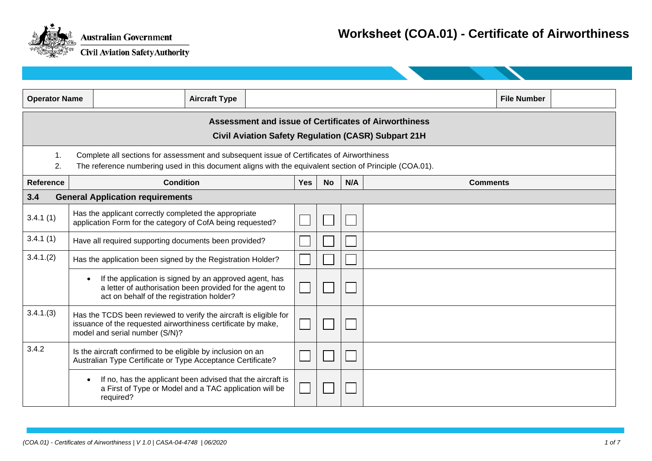

| <b>Operator Name</b> |                                                                                                                                                                                                       |                                                                                                                                                                 | <b>Aircraft Type</b> |  |            |           |     |  | <b>File Number</b> |
|----------------------|-------------------------------------------------------------------------------------------------------------------------------------------------------------------------------------------------------|-----------------------------------------------------------------------------------------------------------------------------------------------------------------|----------------------|--|------------|-----------|-----|--|--------------------|
|                      | <b>Assessment and issue of Certificates of Airworthiness</b><br><b>Civil Aviation Safety Regulation (CASR) Subpart 21H</b>                                                                            |                                                                                                                                                                 |                      |  |            |           |     |  |                    |
| 1.<br>2.             | Complete all sections for assessment and subsequent issue of Certificates of Airworthiness<br>The reference numbering used in this document aligns with the equivalent section of Principle (COA.01). |                                                                                                                                                                 |                      |  |            |           |     |  |                    |
| <b>Reference</b>     |                                                                                                                                                                                                       | <b>Condition</b>                                                                                                                                                |                      |  | <b>Yes</b> | <b>No</b> | N/A |  | <b>Comments</b>    |
| 3.4                  |                                                                                                                                                                                                       | <b>General Application requirements</b>                                                                                                                         |                      |  |            |           |     |  |                    |
| 3.4.1(1)             |                                                                                                                                                                                                       | Has the applicant correctly completed the appropriate<br>application Form for the category of CofA being requested?                                             |                      |  |            |           |     |  |                    |
| 3.4.1(1)             | Have all required supporting documents been provided?                                                                                                                                                 |                                                                                                                                                                 |                      |  |            |           |     |  |                    |
| 3.4.1(2)             |                                                                                                                                                                                                       | Has the application been signed by the Registration Holder?                                                                                                     |                      |  |            |           |     |  |                    |
|                      | $\bullet$                                                                                                                                                                                             | If the application is signed by an approved agent, has<br>a letter of authorisation been provided for the agent to<br>act on behalf of the registration holder? |                      |  |            |           |     |  |                    |
| 3.4.1(3)             | Has the TCDS been reviewed to verify the aircraft is eligible for<br>issuance of the requested airworthiness certificate by make,<br>model and serial number (S/N)?                                   |                                                                                                                                                                 |                      |  |            |           |     |  |                    |
| 3.4.2                |                                                                                                                                                                                                       | Is the aircraft confirmed to be eligible by inclusion on an<br>Australian Type Certificate or Type Acceptance Certificate?                                      |                      |  |            |           |     |  |                    |
|                      | $\bullet$                                                                                                                                                                                             | If no, has the applicant been advised that the aircraft is<br>a First of Type or Model and a TAC application will be<br>required?                               |                      |  |            |           |     |  |                    |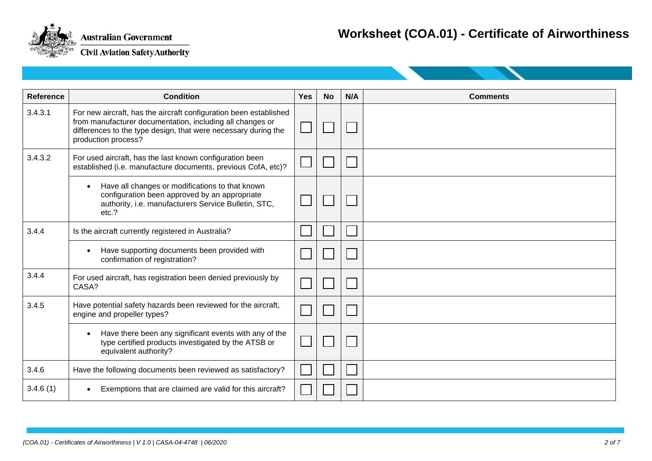

| <b>Reference</b> | <b>Condition</b>                                                                                                                                                                                                        | Yes | <b>No</b> | N/A | <b>Comments</b> |
|------------------|-------------------------------------------------------------------------------------------------------------------------------------------------------------------------------------------------------------------------|-----|-----------|-----|-----------------|
| 3.4.3.1          | For new aircraft, has the aircraft configuration been established<br>from manufacturer documentation, including all changes or<br>differences to the type design, that were necessary during the<br>production process? |     |           |     |                 |
| 3.4.3.2          | For used aircraft, has the last known configuration been<br>established (i.e. manufacture documents, previous CofA, etc)?                                                                                               |     |           |     |                 |
|                  | Have all changes or modifications to that known<br>$\bullet$<br>configuration been approved by an appropriate<br>authority, i.e. manufacturers Service Bulletin, STC,<br>etc.?                                          |     |           |     |                 |
| 3.4.4            | Is the aircraft currently registered in Australia?                                                                                                                                                                      |     |           |     |                 |
|                  | Have supporting documents been provided with<br>confirmation of registration?                                                                                                                                           |     |           |     |                 |
| 3.4.4            | For used aircraft, has registration been denied previously by<br>CASA?                                                                                                                                                  |     |           |     |                 |
| 3.4.5            | Have potential safety hazards been reviewed for the aircraft,<br>engine and propeller types?                                                                                                                            |     |           |     |                 |
|                  | Have there been any significant events with any of the<br>type certified products investigated by the ATSB or<br>equivalent authority?                                                                                  |     |           |     |                 |
| 3.4.6            | Have the following documents been reviewed as satisfactory?                                                                                                                                                             |     |           |     |                 |
| 3.4.6(1)         | Exemptions that are claimed are valid for this aircraft?                                                                                                                                                                |     |           |     |                 |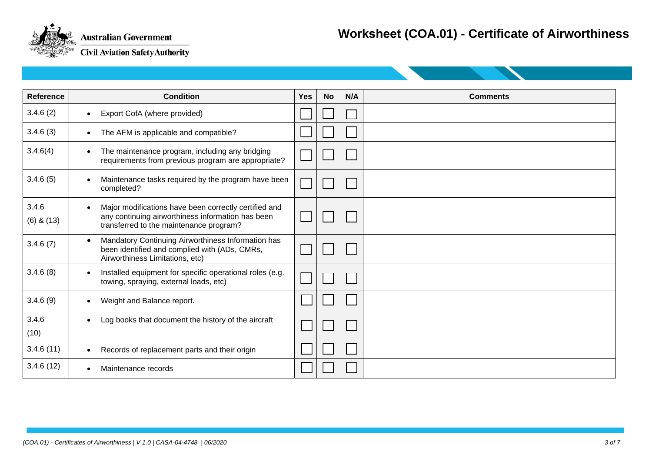

| <b>Reference</b>        | <b>Condition</b>                                                                                                                                                   | <b>Yes</b> | <b>No</b> | N/A | <b>Comments</b> |
|-------------------------|--------------------------------------------------------------------------------------------------------------------------------------------------------------------|------------|-----------|-----|-----------------|
| 3.4.6(2)                | Export CofA (where provided)<br>$\bullet$                                                                                                                          |            |           |     |                 |
| 3.4.6(3)                | The AFM is applicable and compatible?<br>$\bullet$                                                                                                                 |            |           |     |                 |
| 3.4.6(4)                | The maintenance program, including any bridging<br>$\bullet$<br>requirements from previous program are appropriate?                                                |            |           |     |                 |
| 3.4.6(5)                | Maintenance tasks required by the program have been<br>$\bullet$<br>completed?                                                                                     |            |           |     |                 |
| 3.4.6<br>$(6)$ & $(13)$ | Major modifications have been correctly certified and<br>$\bullet$<br>any continuing airworthiness information has been<br>transferred to the maintenance program? |            |           |     |                 |
| 3.4.6(7)                | Mandatory Continuing Airworthiness Information has<br>$\bullet$<br>been identified and complied with (ADs, CMRs,<br>Airworthiness Limitations, etc)                |            |           |     |                 |
| 3.4.6(8)                | Installed equipment for specific operational roles (e.g.<br>$\bullet$<br>towing, spraying, external loads, etc)                                                    |            |           |     |                 |
| 3.4.6(9)                | Weight and Balance report.<br>$\bullet$                                                                                                                            |            |           |     |                 |
| 3.4.6<br>(10)           | Log books that document the history of the aircraft<br>$\bullet$                                                                                                   |            |           |     |                 |
| 3.4.6(11)               | Records of replacement parts and their origin<br>$\bullet$                                                                                                         |            |           |     |                 |
| 3.4.6(12)               | Maintenance records<br>$\bullet$                                                                                                                                   |            |           |     |                 |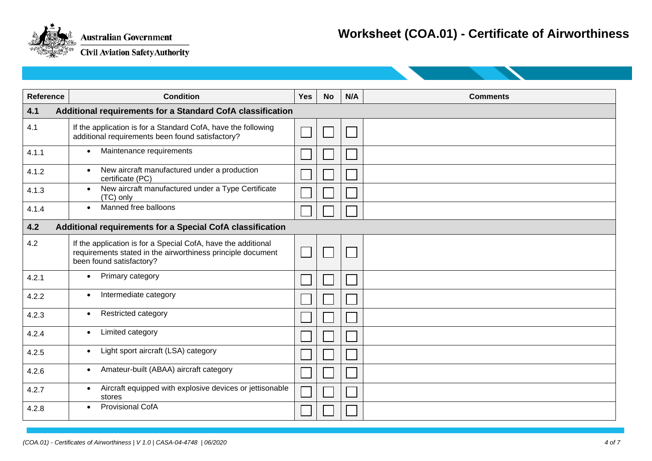

| Reference | <b>Condition</b>                                                                                                                                         | <b>Yes</b> | <b>No</b> | N/A | <b>Comments</b> |  |  |
|-----------|----------------------------------------------------------------------------------------------------------------------------------------------------------|------------|-----------|-----|-----------------|--|--|
| 4.1       | Additional requirements for a Standard CofA classification                                                                                               |            |           |     |                 |  |  |
| 4.1       | If the application is for a Standard CofA, have the following<br>additional requirements been found satisfactory?                                        |            |           |     |                 |  |  |
| 4.1.1     | Maintenance requirements<br>$\bullet$                                                                                                                    |            |           |     |                 |  |  |
| 4.1.2     | New aircraft manufactured under a production<br>$\bullet$<br>certificate (PC)                                                                            |            |           |     |                 |  |  |
| 4.1.3     | New aircraft manufactured under a Type Certificate<br>$\bullet$<br>(TC) only                                                                             |            |           |     |                 |  |  |
| 4.1.4     | Manned free balloons<br>$\bullet$                                                                                                                        |            |           |     |                 |  |  |
| 4.2       | Additional requirements for a Special CofA classification                                                                                                |            |           |     |                 |  |  |
| 4.2       | If the application is for a Special CofA, have the additional<br>requirements stated in the airworthiness principle document<br>been found satisfactory? |            |           |     |                 |  |  |
| 4.2.1     | Primary category<br>$\bullet$                                                                                                                            |            |           |     |                 |  |  |
| 4.2.2     | Intermediate category<br>$\bullet$                                                                                                                       |            |           |     |                 |  |  |
| 4.2.3     | <b>Restricted category</b><br>$\bullet$                                                                                                                  |            |           |     |                 |  |  |
| 4.2.4     | Limited category<br>$\bullet$                                                                                                                            |            |           |     |                 |  |  |
| 4.2.5     | Light sport aircraft (LSA) category<br>$\bullet$                                                                                                         |            |           |     |                 |  |  |
| 4.2.6     | Amateur-built (ABAA) aircraft category<br>$\bullet$                                                                                                      |            |           |     |                 |  |  |
| 4.2.7     | Aircraft equipped with explosive devices or jettisonable<br>$\bullet$<br>stores                                                                          |            |           |     |                 |  |  |
| 4.2.8     | <b>Provisional CofA</b>                                                                                                                                  |            |           |     |                 |  |  |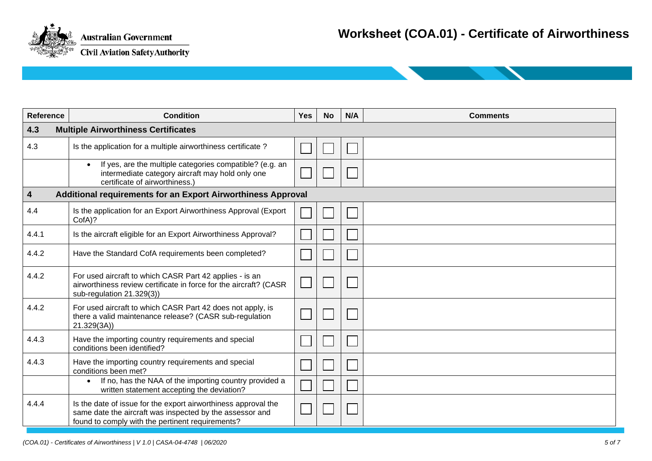

| <b>Reference</b>        | <b>Condition</b>                                                                                                                                                               | <b>Yes</b> | <b>No</b> | N/A | <b>Comments</b> |  |  |  |
|-------------------------|--------------------------------------------------------------------------------------------------------------------------------------------------------------------------------|------------|-----------|-----|-----------------|--|--|--|
| 4.3                     | <b>Multiple Airworthiness Certificates</b>                                                                                                                                     |            |           |     |                 |  |  |  |
| 4.3                     | Is the application for a multiple airworthiness certificate?                                                                                                                   |            |           |     |                 |  |  |  |
|                         | If yes, are the multiple categories compatible? (e.g. an<br>intermediate category aircraft may hold only one<br>certificate of airworthiness.)                                 |            |           |     |                 |  |  |  |
| $\overline{\mathbf{4}}$ | Additional requirements for an Export Airworthiness Approval                                                                                                                   |            |           |     |                 |  |  |  |
| 4.4                     | Is the application for an Export Airworthiness Approval (Export<br>CofA)?                                                                                                      |            |           |     |                 |  |  |  |
| 4.4.1                   | Is the aircraft eligible for an Export Airworthiness Approval?                                                                                                                 |            |           |     |                 |  |  |  |
| 4.4.2                   | Have the Standard CofA requirements been completed?                                                                                                                            |            |           |     |                 |  |  |  |
| 4.4.2                   | For used aircraft to which CASR Part 42 applies - is an<br>airworthiness review certificate in force for the aircraft? (CASR<br>sub-regulation 21.329(3))                      |            |           |     |                 |  |  |  |
| 4.4.2                   | For used aircraft to which CASR Part 42 does not apply, is<br>there a valid maintenance release? (CASR sub-regulation<br>21.329(3A)                                            |            |           |     |                 |  |  |  |
| 4.4.3                   | Have the importing country requirements and special<br>conditions been identified?                                                                                             |            |           |     |                 |  |  |  |
| 4.4.3                   | Have the importing country requirements and special<br>conditions been met?                                                                                                    |            |           |     |                 |  |  |  |
|                         | If no, has the NAA of the importing country provided a<br>$\bullet$<br>written statement accepting the deviation?                                                              |            |           |     |                 |  |  |  |
| 4.4.4                   | Is the date of issue for the export airworthiness approval the<br>same date the aircraft was inspected by the assessor and<br>found to comply with the pertinent requirements? |            |           |     |                 |  |  |  |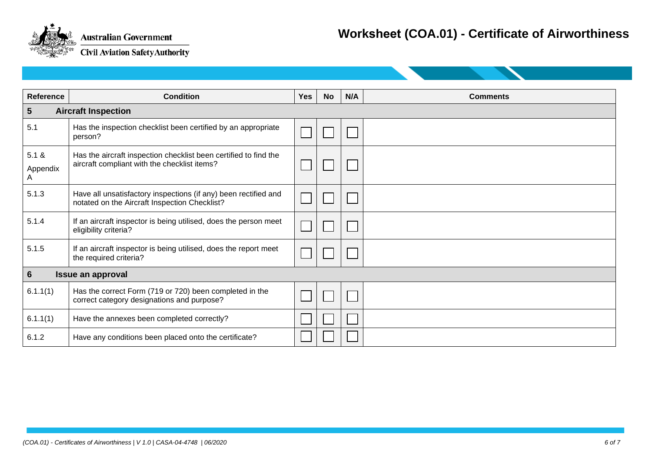

## **Worksheet (COA.01) - Certificate of Airworthiness**

| <b>Reference</b>                           | <b>Condition</b>                                                                                                 | <b>Yes</b> | <b>No</b> | N/A | <b>Comments</b> |  |  |
|--------------------------------------------|------------------------------------------------------------------------------------------------------------------|------------|-----------|-----|-----------------|--|--|
| $5\phantom{.0}$                            | <b>Aircraft Inspection</b>                                                                                       |            |           |     |                 |  |  |
| 5.1                                        | Has the inspection checklist been certified by an appropriate<br>person?                                         |            |           |     |                 |  |  |
| 5.1 &<br>Appendix<br>A                     | Has the aircraft inspection checklist been certified to find the<br>aircraft compliant with the checklist items? |            |           |     |                 |  |  |
| 5.1.3                                      | Have all unsatisfactory inspections (if any) been rectified and<br>notated on the Aircraft Inspection Checklist? |            |           |     |                 |  |  |
| 5.1.4                                      | If an aircraft inspector is being utilised, does the person meet<br>eligibility criteria?                        |            |           |     |                 |  |  |
| 5.1.5                                      | If an aircraft inspector is being utilised, does the report meet<br>the required criteria?                       |            |           |     |                 |  |  |
| $6\phantom{1}$<br><b>Issue an approval</b> |                                                                                                                  |            |           |     |                 |  |  |
| 6.1.1(1)                                   | Has the correct Form (719 or 720) been completed in the<br>correct category designations and purpose?            |            |           |     |                 |  |  |
| 6.1.1(1)                                   | Have the annexes been completed correctly?                                                                       |            |           |     |                 |  |  |
| 6.1.2                                      | Have any conditions been placed onto the certificate?                                                            |            |           |     |                 |  |  |